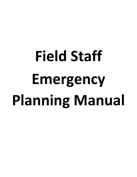# **Field Staff Emergency Planning Manual**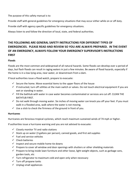The purpose of this safety manual is to:

Provide staff with general guidelines for emergency situations that may occur either while on or off duty.

Provide staff with agency specific guidelines for emergency situations.

Always listen to and follow the direction of local, state, and federal authorities.

# **THE FOLLOWING ARE GENERAL SAFETY INSTRUCTIONS FOR DIFFERENT TYPES OF EMERGENCIES. PLEASE READ AND REVIEW SO YOU ARE ALWAYS PREPARED. IN THE EVENT OF AN EMERGENCY, ALWAYS FOLLOW YOUR EMERGENCY SUPERVISOR'S INSTRUCTIONS FIRST**

# **Floods**

Floods are the most common and widespread of all natural hazards. Some floods can develop over a period of days, but flash floods can result in raging waters in just a few minutes. Be aware of flood hazards, especially if the home is in a low-lying area, near water, or downstream from a dam.

If local authorities issue a flood watch, prepare to evacuate:

- $\checkmark$  Secure the home. Move essential items to the upper floors of the house
- $\checkmark$  If instructed, turn off utilities at the main switch or valves. Do not touch electrical equipment if you are wet or standing in water.
- $\checkmark$  Fill the bathtub with water in case water becomes contaminated or services are cut off. CLEAN THE BATHTUB FIRST.
- $\checkmark$  Do not walk through moving water. Six inches of moving water can knock you off your feet. If you must walk in a flooded area, walk where the water is not moving.
- $\checkmark$  Use a stick to check the firmness of the ground in front of you.

# **Hurricanes**

Hurricanes are ferocious tropical cyclones, which reach maximum sustained winds of 74 mph or higher.

If authorities issue a hurricane warning and you are not advised to evacuate:

- $\checkmark$  Closely monitor TV and radio stations
- $\checkmark$  Stock up on water (3 gallons per person), canned goods, and first aid supplies
- $\checkmark$  Fuel and service vehicles
- ✓ Check batteries
- $\checkmark$  Inspect and secure mobile home tie downs
- $\checkmark$  Prepare to cover all window and door openings with shutters or other shielding materials
- $\checkmark$  Prepare to bring inside lawn furniture and other loose, light-weight objects, such as garbage cans, garden tools, etc
- $\checkmark$  Turn refrigerator to maximum cold and open only when necessary
- $\checkmark$  Turn off propane tanks
- $\checkmark$  Unplug small appliances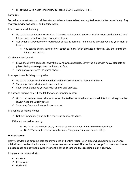$\checkmark$  Fill bathtub with water for sanitary purposes. CLEAN BATHTUB FIRST.

# **Tornados**

Tornadoes are nature's most violent storms. When a tornado has been sighted, seek shelter immediately. Stay away from windows, doors, and outside walls.

In a house or small building:

- $\checkmark$  Go to the basement or storm cellar. If there is no basement, go to an interior room on the lowest level (closet, interior hallway, bathroom, door frame).
- $\checkmark$  Get under a sturdy table or crouch down as low as possible, hold on, and protect you and your client's heads.
	- $\circ$  You can do this by using pillows, couch cushions, thick blankets, or towels. Stay there until the danger has passed.

If a client is bed bound:

- $\checkmark$  Move the client's bed as far away from windows as possible. Cover the client with heavy blankets or pillows being sure to protect the head and face.
- $\checkmark$  Then go to a safe area (as stated above).

In an apartment building or high-rise:

- $\checkmark$  Go to the lowest level in the building and find a small, interior room or hallway.
- $\checkmark$  Stay away from exterior walls and windows.
- $\checkmark$  Cover your client and yourself with pillows and blankets.

In a school, nursing home, hospital, factory or shopping center:

- $\checkmark$  Go to the predetermined shelter area as directed by the location's personnel. Interior hallways on the lowest floor are usually safest.
- $\checkmark$  Stay away from windows and open spaces.

In a vehicle or mobile home:

 $\checkmark$  Get out immediately and go to a more substantial structure.

If there is no shelter nearby:

- $\circ$  Lie flat in the nearest ditch, ravine or culvert with your hands shielding your head.
- o Do NOT attempt to out-drive a tornado. They are erratic and move swiftly.

# **Winter Storms**

Heavy snowfall and extreme cold can immobilize and entire region. Even areas which normally experience mild winters, can be hit with a major snowstorm or extreme cold. The results can range from isolation due to blocked roads and downed power lines to the havoc of cars and trucks sliding on icy highways.

Keep your car prepared with:

- ✓ Blankets
- ✓ Extra water
- ✓ Flash-light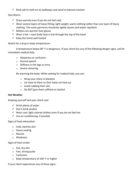$\checkmark$  Rock salt to melt ice on walkways and sand to improve traction

Stay Warm:

- $\checkmark$  Dress warmly even if you do not feel cold.
- $\checkmark$  Wear several layers of loose-fitting, light-weight, warm clothing rather than one layer of heavy clothing. The outer garments should be tightly woven and water repellent.
- $\checkmark$  Mittens are warmer than gloves
- $\checkmark$  Wear a hat most body heat is lost through the top of the head
- $\checkmark$  Keep the home well heated

Watch for a drop in body temperature:

A temperature below 96° F is dangerous. If your client has any of the following danger signs, call for immediate medical help.

- o Sleepiness or confusion
- o Slurred speech
- $\circ$  Stiffness in the legs or arms
- o Severe shivering

Re-warming the body: While waiting for medical help, you can:

- o Wrap your client in blankets
- o Lie close to them so their body can heat up
- o Avoid rubbing their skin
- o Do NOT give them caffeine or alcohol

# **Hot Weather**

Keeping yourself and your client cool:

- $\checkmark$  Drink plenty of water
- ✓ Don't drink alcohol
- ✓ Wear cool, light-colored clothes even if you do not feel hot
- $\checkmark$  Use air conditioning, if possible

Signs of heat exhaustion:

- o Cold, clammy skin
- o Heavy seating
- o Nausea
- o Weakness

Signs of heat stroke:

- o Hot, dry skin
- o Fast, strong pulse
- o Confusion
- $\circ$  Body temperature of 104 $\circ$  F or higher

If your client experiences any of these signs: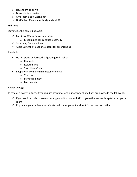- o Have them lie down
- o Drink plenty of water
- o Give them a cool washcloth
- o Notify the office immediately and call 911

### **Lightning**

Stay inside the home, but avoid:

- $\checkmark$  Bathtubs, Water faucets and sinks
	- o Metal pipes can conduct electricity
- $\checkmark$  Stay away from windows
- $\checkmark$  Avoid using the telephone except for emergencies

# If outside:

- $\checkmark$  Do not stand underneath a lightning rod such as:
	- o Flag pole
	- o Isolated tree
	- o Street lamp/light
- $\checkmark$  Keep away from anything metal including:
	- o Tractors
	- o Farm equipment
	- o Bicycles, etc

### **Power Outage**

In case of a power outage, if you require assistance and our agency phone lines are down, do the following:

- $\checkmark$  If you are in a crisis or have an emergency situation, call 911 or go to the nearest hospital emergency room
- $\checkmark$  If you and your patient are safe, stay with your patient and wait for further instruction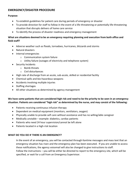# **EMERGENCY/DISASTER PROCEDURE**

# **Purpose:**

- To establish guidelines for patient care during periods of emergency or disaster
- To provide direction for staff to follow in the event of a life-threatening or potentially life-threatening situation that disrupts delivers of home care service
- To identify the process of disaster readiness and emergency management

# **What are situations deemed to be an emergency requiring planning and execution from both office and field staff?**

- Adverse weather such as floods, tornadoes, hurricanes, blizzards and storms
- Natural disasters
- Internal emergencies
	- o Communication system failure
	- o Utility failure (outages of electricity and telephone system)
- Security Incidents
	- o Bomb threats
	- o Civil disturbances
- High rate of discharge from an acute, sub-acute, skilled or residential facility
- Chemical spills and bio-hazardous weapons
- Accidents involving multiple injuries
- Staffing shortages
- All other situations as determined by agency management

# **We have some patients that are considered high risk and need to be the priority to be seen in an emergency situation. Patients are considered "high risk" as determined by the nurse, and may consist of the following:**

- Patients receiving continuous infusion therapy
- Dependent on medical equipment (monitors, ventilators, oxygen)
- Physically unable to provide self-care without assistance and has no willing/able caregiver
- Medically unstable example: diabetics, cardiac patients
- Patients who need 24 hour supervision/cannot be left alone
- Patients located in a high-risk location

# **WHAT DO YOU DO IF THERE IS AN EMERGENCY?**

In the event of an emergency, you will be contacted through Kantime messages and mass text that an emergency situation has risen and the emergency plan has been executed. If you are unable to access these notifications, the agency voicemail will also be changed to give instructions to staff. Follow the instructions – you will be either be directed to report to the emergency site, which will be specified, or wait for a call from an Emergency Superivisor.